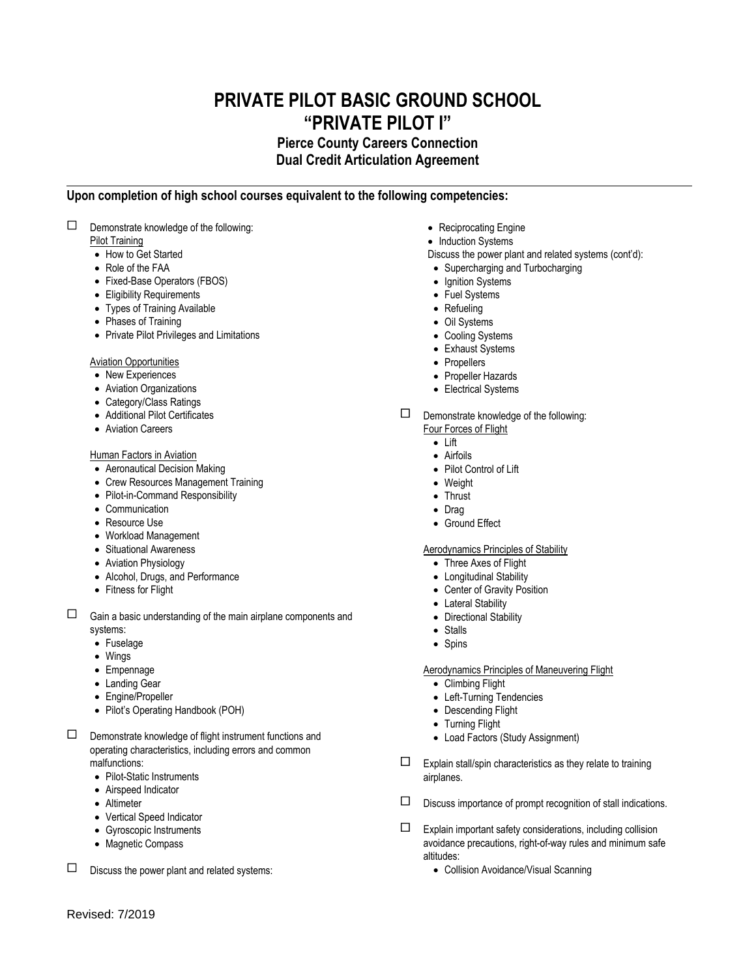# **PRIVATE PILOT BASIC GROUND SCHOOL "PRIVATE PILOT I"**

# **Pierce County Careers Connection Dual Credit Articulation Agreement**

# **Upon completion of high school courses equivalent to the following competencies:**

 $\square$  Demonstrate knowledge of the following:

Pilot Training

- How to Get Started
- Role of the FAA
- Fixed-Base Operators (FBOS)
- Eligibility Requirements
- Types of Training Available
- Phases of Training
- Private Pilot Privileges and Limitations

#### Aviation Opportunities

- New Experiences
- Aviation Organizations
- Category/Class Ratings
- Additional Pilot Certificates
- Aviation Careers

# Human Factors in Aviation

- Aeronautical Decision Making
- Crew Resources Management Training
- Pilot-in-Command Responsibility
- Communication
- Resource Use
- Workload Management
- Situational Awareness
- Aviation Physiology
- Alcohol, Drugs, and Performance
- Fitness for Flight
- $\Box$  Gain a basic understanding of the main airplane components and systems:
	- Fuselage
	- Wings
	- Empennage
	- Landing Gear
	- Engine/Propeller
	- Pilot's Operating Handbook (POH)
- $\square$  Demonstrate knowledge of flight instrument functions and operating characteristics, including errors and common malfunctions:
	- Pilot-Static Instruments
	- Airspeed Indicator
	- Altimeter
	- Vertical Speed Indicator
	- Gyroscopic Instruments
	- Magnetic Compass
- Reciprocating Engine
- Induction Systems
- Discuss the power plant and related systems (cont'd):
- Supercharging and Turbocharging
- Ignition Systems
- Fuel Systems
- Refueling
- Oil Systems
- Cooling Systems
- Exhaust Systems
- Propellers
- Propeller Hazards
- Electrical Systems
- Demonstrate knowledge of the following: Four Forces of Flight
	- Lift
	- Airfoils
	- Pilot Control of Lift
	- Weight
	- Thrust
	- Drag
	- Ground Effect

## Aerodynamics Principles of Stability

- Three Axes of Flight
- Longitudinal Stability
- Center of Gravity Position
- Lateral Stability
- Directional Stability
- Stalls
- Spins

## Aerodynamics Principles of Maneuvering Flight

- Climbing Flight
- Left-Turning Tendencies
- Descending Flight
- Turning Flight
- Load Factors (Study Assignment)
- $\square$  Explain stall/spin characteristics as they relate to training airplanes.
- $\square$  Discuss importance of prompt recognition of stall indications.
- $\square$  Explain important safety considerations, including collision avoidance precautions, right-of-way rules and minimum safe altitudes:
	- Collision Avoidance/Visual Scanning

 $\square$  Discuss the power plant and related systems: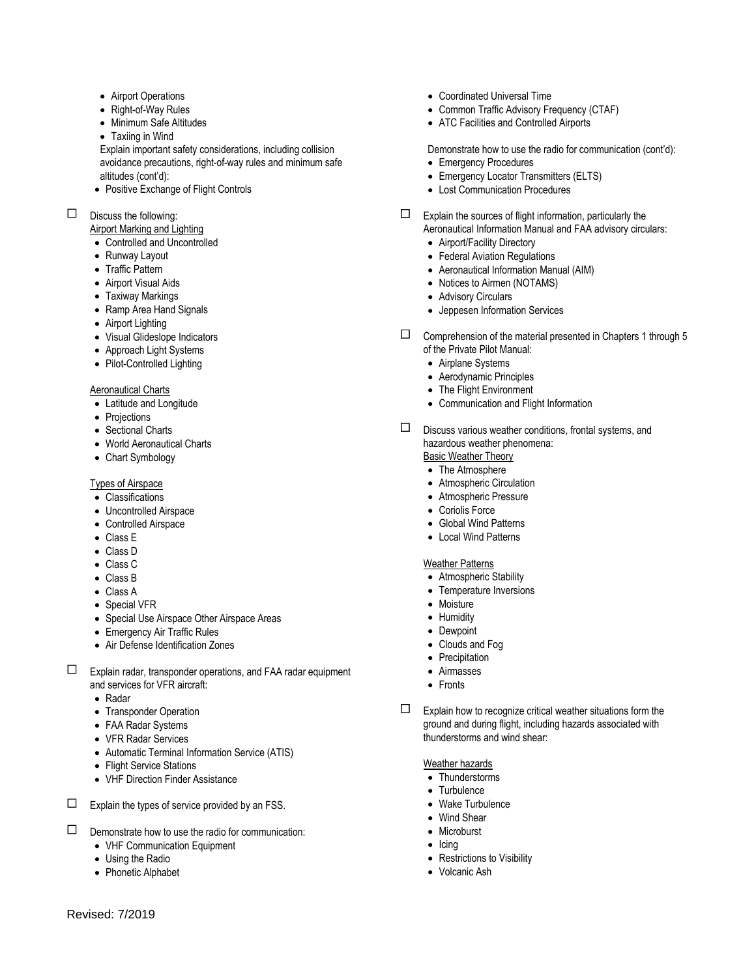- Airport Operations
- Right-of-Way Rules
- Minimum Safe Altitudes
- Taxiing in Wind

Explain important safety considerations, including collision avoidance precautions, right-of-way rules and minimum safe altitudes (cont'd):

- Positive Exchange of Flight Controls
- $\Box$  Discuss the following:
	- Airport Marking and Lighting
	- Controlled and Uncontrolled
	- Runway Layout
	- Traffic Pattern
	- Airport Visual Aids
	- Taxiway Markings
	- Ramp Area Hand Signals
	- Airport Lighting
	- Visual Glideslope Indicators
	- Approach Light Systems
	- Pilot-Controlled Lighting

#### Aeronautical Charts

- Latitude and Longitude
- Projections
- Sectional Charts
- World Aeronautical Charts
- Chart Symbology

## Types of Airspace

- Classifications
- Uncontrolled Airspace
- Controlled Airspace
- Class E
- Class D
- Class C
- Class B
- Class A
- Special VFR
- Special Use Airspace Other Airspace Areas
- Emergency Air Traffic Rules
- Air Defense Identification Zones
- $\square$  Explain radar, transponder operations, and FAA radar equipment and services for VFR aircraft:
	- Radar
	- Transponder Operation
	- FAA Radar Systems
	- VFR Radar Services
	- Automatic Terminal Information Service (ATIS)
	- Flight Service Stations
	- VHF Direction Finder Assistance
- 

 $\square$  Explain the types of service provided by an FSS.

- $\square$  Demonstrate how to use the radio for communication:
	- VHF Communication Equipment
	- Using the Radio
	- Phonetic Alphabet
- Coordinated Universal Time
- Common Traffic Advisory Frequency (CTAF)
- ATC Facilities and Controlled Airports

Demonstrate how to use the radio for communication (cont'd):

- Emergency Procedures
- Emergency Locator Transmitters (ELTS) Lost Communication Procedures
- $\Box$  Explain the sources of flight information, particularly the Aeronautical Information Manual and FAA advisory circulars:
	- Airport/Facility Directory
	- Federal Aviation Regulations
	- Aeronautical Information Manual (AIM)
	- Notices to Airmen (NOTAMS)
	- Advisory Circulars
	- Jeppesen Information Services
- $\square$  Comprehension of the material presented in Chapters 1 through 5 of the Private Pilot Manual:
	- Airplane Systems
	- Aerodynamic Principles
	- The Flight Environment
	- Communication and Flight Information
- $\square$  Discuss various weather conditions, frontal systems, and hazardous weather phenomena: Basic Weather Theory
	- The Atmosphere
	- Atmospheric Circulation
	- Atmospheric Pressure
	- Coriolis Force
	- Global Wind Patterns
	- Local Wind Patterns

#### Weather Patterns

- Atmospheric Stability
- Temperature Inversions
- Moisture
- Humidity
- Dewpoint
- Clouds and Fog
- Precipitation
- Airmasses
- Fronts
- $\Box$  Explain how to recognize critical weather situations form the ground and during flight, including hazards associated with thunderstorms and wind shear:

#### Weather hazards

- Thunderstorms
- Turbulence
- Wake Turbulence
- Wind Shear
- Microburst
- $\bullet$  Icing
- Restrictions to Visibility
- Volcanic Ash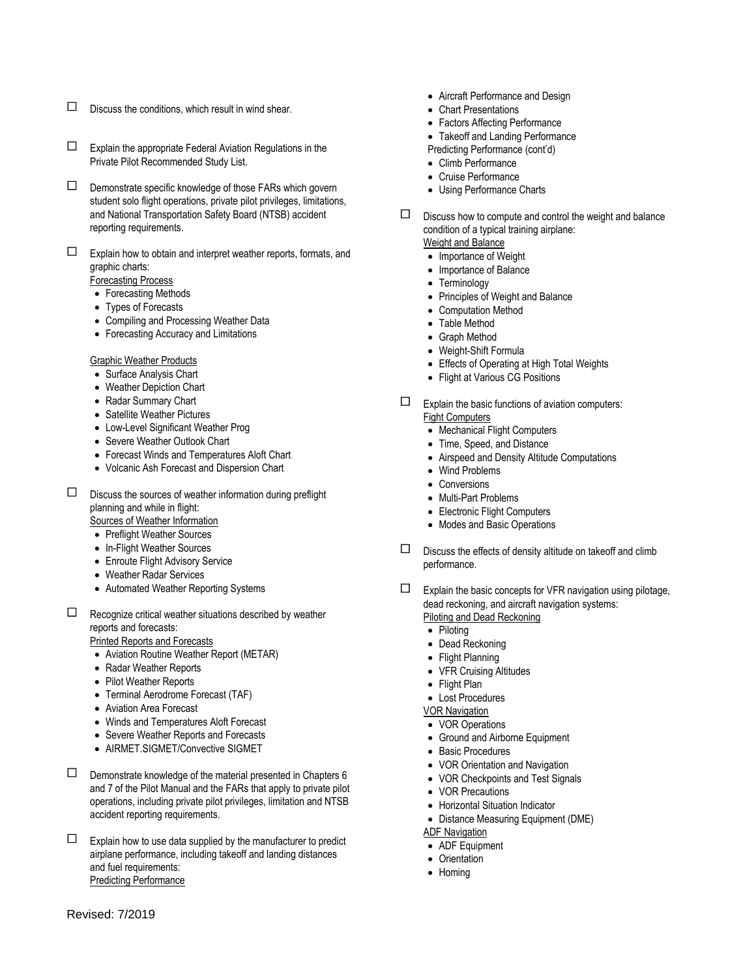- $\square$  Discuss the conditions, which result in wind shear.
- $\square$  Explain the appropriate Federal Aviation Regulations in the Private Pilot Recommended Study List.
- $\square$  Demonstrate specific knowledge of those FARs which govern student solo flight operations, private pilot privileges, limitations, and National Transportation Safety Board (NTSB) accident reporting requirements.
- $\square$  Explain how to obtain and interpret weather reports, formats, and graphic charts:

Forecasting Process

- Forecasting Methods
- Types of Forecasts
- Compiling and Processing Weather Data
- Forecasting Accuracy and Limitations

Graphic Weather Products

- Surface Analysis Chart
- Weather Depiction Chart
- Radar Summary Chart
- Satellite Weather Pictures
- Low-Level Significant Weather Prog
- Severe Weather Outlook Chart
- Forecast Winds and Temperatures Aloft Chart
- Volcanic Ash Forecast and Dispersion Chart
- $\square$  Discuss the sources of weather information during preflight planning and while in flight:
	- Sources of Weather Information
	- Preflight Weather Sources
	- In-Flight Weather Sources
	- Enroute Flight Advisory Service
	- Weather Radar Services
	- Automated Weather Reporting Systems
- $\Box$  Recognize critical weather situations described by weather reports and forecasts:

Printed Reports and Forecasts

- Aviation Routine Weather Report (METAR)
- Radar Weather Reports
- Pilot Weather Reports
- Terminal Aerodrome Forecast (TAF)
- Aviation Area Forecast
- Winds and Temperatures Aloft Forecast
- Severe Weather Reports and Forecasts
- AIRMET.SIGMET/Convective SIGMET
- $\square$  Demonstrate knowledge of the material presented in Chapters 6 and 7 of the Pilot Manual and the FARs that apply to private pilot operations, including private pilot privileges, limitation and NTSB accident reporting requirements.
- $\Box$  Explain how to use data supplied by the manufacturer to predict airplane performance, including takeoff and landing distances and fuel requirements: Predicting Performance
- Aircraft Performance and Design
- Chart Presentations
- Factors Affecting Performance
- Takeoff and Landing Performance Predicting Performance (cont'd)
- Climb Performance
- Cruise Performance
- Using Performance Charts
- $\square$  Discuss how to compute and control the weight and balance condition of a typical training airplane:

Weight and Balance

- Importance of Weight
- Importance of Balance
- Terminology
- Principles of Weight and Balance
- Computation Method
- Table Method
- Graph Method
- Weight-Shift Formula
- Effects of Operating at High Total Weights
- Flight at Various CG Positions
- $\square$  Explain the basic functions of aviation computers: Fight Computers
	- Mechanical Flight Computers
	- Time, Speed, and Distance
	- Airspeed and Density Altitude Computations
	- Wind Problems
	- Conversions
	- Multi-Part Problems
	- Electronic Flight Computers
	- Modes and Basic Operations
- $\square$  Discuss the effects of density altitude on takeoff and climb performance.
- $\square$  Explain the basic concepts for VFR navigation using pilotage, dead reckoning, and aircraft navigation systems: Piloting and Dead Reckoning
	- Piloting
	- Dead Reckoning
	- Flight Planning
	- VFR Cruising Altitudes
	- Flight Plan
	- Lost Procedures
	- VOR Navigation
	- VOR Operations
	- Ground and Airborne Equipment
	- Basic Procedures
	- VOR Orientation and Navigation
	- VOR Checkpoints and Test Signals
	- VOR Precautions
	- Horizontal Situation Indicator
	- Distance Measuring Equipment (DME)

ADF Navigation

- ADF Equipment
- Orientation
- Homing